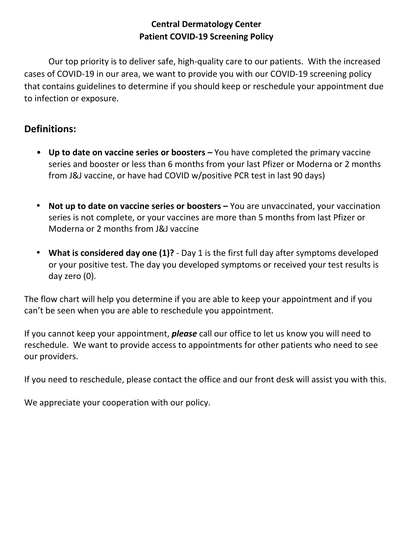## **Central Dermatology Center Patient COVID-19 Screening Policy**

Our top priority is to deliver safe, high-quality care to our patients. With the increased cases of COVID-19 in our area, we want to provide you with our COVID-19 screening policy that contains guidelines to determine if you should keep or reschedule your appointment due to infection or exposure.

## **Definitions:**

- **Up to date on vaccine series or boosters –** You have completed the primary vaccine series and booster or less than 6 months from your last Pfizer or Moderna or 2 months from J&J vaccine, or have had COVID w/positive PCR test in last 90 days)
- Not up to date on vaccine series or boosters You are unvaccinated, your vaccination series is not complete, or your vaccines are more than 5 months from last Pfizer or Moderna or 2 months from J&J vaccine
- **What is considered day one (1)?** Day 1 is the first full day after symptoms developed or your positive test. The day you developed symptoms or received your test results is day zero (0).

The flow chart will help you determine if you are able to keep your appointment and if you can't be seen when you are able to reschedule you appointment.

If you cannot keep your appointment, *please* call our office to let us know you will need to reschedule. We want to provide access to appointments for other patients who need to see our providers.

If you need to reschedule, please contact the office and our front desk will assist you with this.

We appreciate your cooperation with our policy.